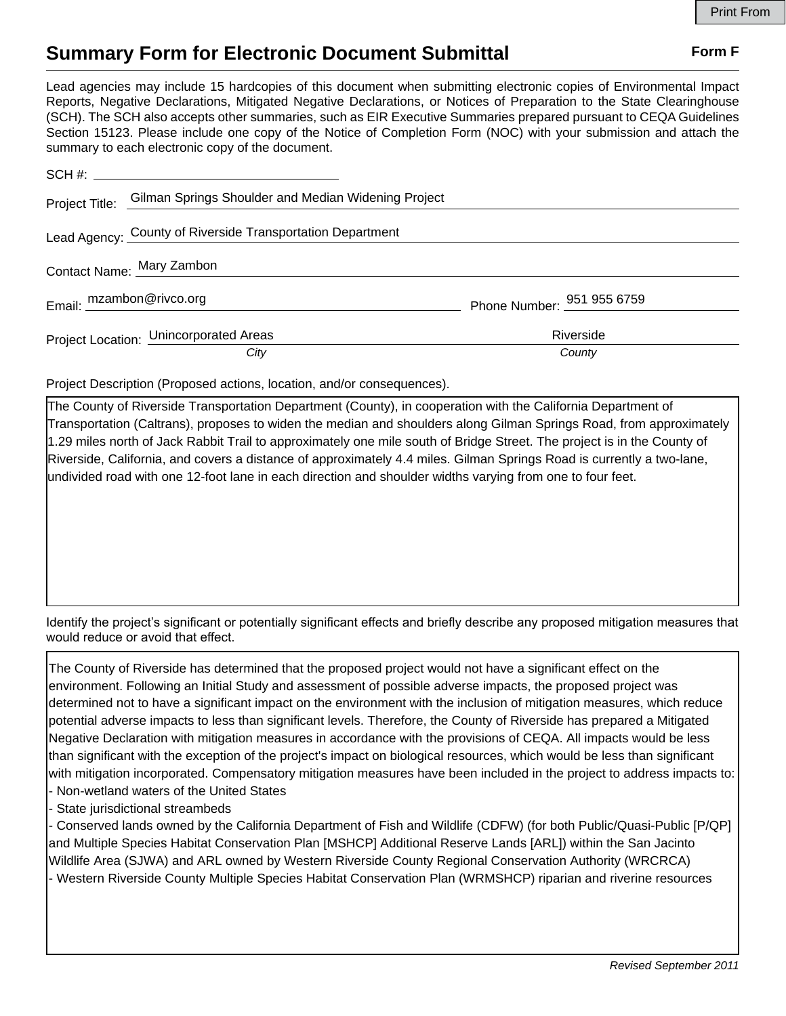## **Summary Form for Electronic Document Submittal Form F Form F**

Lead agencies may include 15 hardcopies of this document when submitting electronic copies of Environmental Impact Reports, Negative Declarations, Mitigated Negative Declarations, or Notices of Preparation to the State Clearinghouse (SCH). The SCH also accepts other summaries, such as EIR Executive Summaries prepared pursuant to CEQA Guidelines Section 15123. Please include one copy of the Notice of Completion Form (NOC) with your submission and attach the summary to each electronic copy of the document.

|                           | Project Title: Gilman Springs Shoulder and Median Widening Project |                            |
|---------------------------|--------------------------------------------------------------------|----------------------------|
|                           | Lead Agency: County of Riverside Transportation Department         |                            |
| Contact Name: Mary Zambon |                                                                    |                            |
| Email: mzambon@rivco.org  |                                                                    | Phone Number: 951 955 6759 |
|                           | Project Location: Unincorporated Areas                             | Riverside                  |
|                           | City                                                               | County                     |

Project Description (Proposed actions, location, and/or consequences).

The County of Riverside Transportation Department (County), in cooperation with the California Department of Transportation (Caltrans), proposes to widen the median and shoulders along Gilman Springs Road, from approximately 1.29 miles north of Jack Rabbit Trail to approximately one mile south of Bridge Street. The project is in the County of Riverside, California, and covers a distance of approximately 4.4 miles. Gilman Springs Road is currently a two-lane, undivided road with one 12-foot lane in each direction and shoulder widths varying from one to four feet.

Identify the project's significant or potentially significant effects and briefly describe any proposed mitigation measures that would reduce or avoid that effect.

The County of Riverside has determined that the proposed project would not have a significant effect on the environment. Following an Initial Study and assessment of possible adverse impacts, the proposed project was determined not to have a significant impact on the environment with the inclusion of mitigation measures, which reduce potential adverse impacts to less than significant levels. Therefore, the County of Riverside has prepared a Mitigated Negative Declaration with mitigation measures in accordance with the provisions of CEQA. All impacts would be less than significant with the exception of the project's impact on biological resources, which would be less than significant with mitigation incorporated. Compensatory mitigation measures have been included in the project to address impacts to: - Non-wetland waters of the United States

- State jurisdictional streambeds

- Conserved lands owned by the California Department of Fish and Wildlife (CDFW) (for both Public/Quasi-Public [P/QP] and Multiple Species Habitat Conservation Plan [MSHCP] Additional Reserve Lands [ARL]) within the San Jacinto Wildlife Area (SJWA) and ARL owned by Western Riverside County Regional Conservation Authority (WRCRCA) - Western Riverside County Multiple Species Habitat Conservation Plan (WRMSHCP) riparian and riverine resources